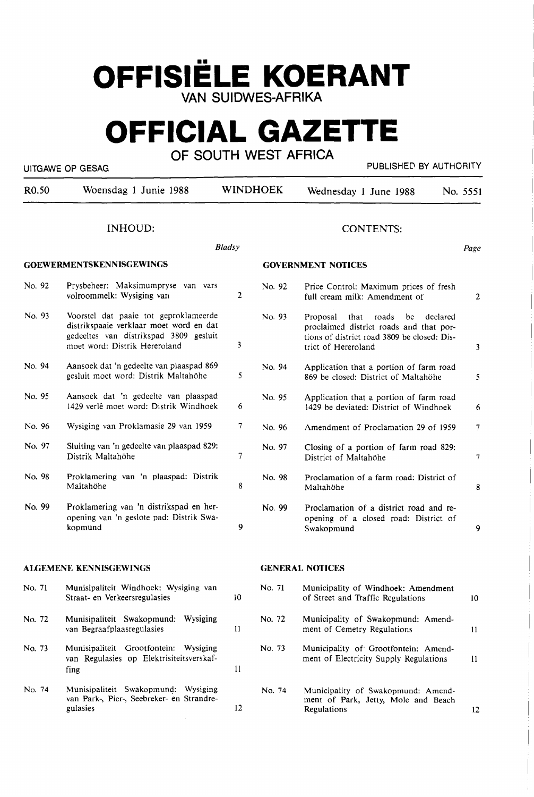# **OFFISIELE KOERANT VAN SUIDWES-AFRIKA**

# **OFFICIAL GAZETTE**

**OF SOUTH WEST AFRICA** 

UITGAWE OP GESAG PUBLISHED BY AUTHORITY

| R <sub>0.50</sub> | Woensdag 1 Junie 1988                                                                                                                                       |                | <b>WINDHOEK</b> | Wednesday 1 June 1988                                                                                                                                        | No. 5551        |
|-------------------|-------------------------------------------------------------------------------------------------------------------------------------------------------------|----------------|-----------------|--------------------------------------------------------------------------------------------------------------------------------------------------------------|-----------------|
|                   | <b>INHOUD:</b>                                                                                                                                              |                |                 | <b>CONTENTS:</b>                                                                                                                                             |                 |
|                   |                                                                                                                                                             | <b>Bladsy</b>  |                 |                                                                                                                                                              | Page            |
|                   | <b>GOEWERMENTSKENNISGEWINGS</b>                                                                                                                             |                |                 | <b>GOVERNMENT NOTICES</b>                                                                                                                                    |                 |
| No. 92            | Prysbeheer: Maksimumpryse van vars<br>volroommelk: Wysiging van                                                                                             | $\overline{2}$ | No. 92          | Price Control: Maximum prices of fresh<br>full cream milk: Amendment of                                                                                      | 2               |
| No. 93            | Voorstel dat paaie tot geproklameerde<br>distrikspaaie verklaar moet word en dat<br>gedeeltes van distrikspad 3809 gesluit<br>moet word: Distrik Hereroland | 3              | No. 93          | Proposal<br>that<br>roads<br>be<br>declared<br>proclaimed district roads and that por-<br>tions of district road 3809 be closed: Dis-<br>trict of Hereroland | 3               |
| No. 94            | Aansoek dat 'n gedeelte van plaaspad 869<br>gesluit moet word: Distrik Maltahöhe                                                                            | 5              | No. 94          | Application that a portion of farm road<br>869 be closed: District of Maltahöhe                                                                              | 5               |
| No. 95            | Aansoek dat 'n gedeelte van plaaspad<br>1429 verlê moet word: Distrik Windhoek                                                                              | 6              | No. 95          | Application that a portion of farm road<br>1429 be deviated: District of Windhoek                                                                            | 6               |
| No. 96            | Wysiging van Proklamasie 29 van 1959                                                                                                                        | 7              | No. 96          | Amendment of Proclamation 29 of 1959                                                                                                                         | 7 <sup>1</sup>  |
| No. 97            | Sluiting van 'n gedeelte van plaaspad 829:<br>Distrik Maltahöhe                                                                                             | 7              | No. 97          | Closing of a portion of farm road 829:<br>District of Maltahöhe                                                                                              | 7               |
| No. 98            | Proklamering van 'n plaaspad: Distrik<br>Maltahöhe                                                                                                          | 8              | No. 98          | Proclamation of a farm road: District of<br>Maltahöhe                                                                                                        | 8               |
| No. 99            | Proklamering van 'n distrikspad en her-<br>opening van 'n geslote pad: Distrik Swa-<br>kopmund                                                              | 9              | No. 99          | Proclamation of a district road and re-<br>opening of a closed road: District of<br>Swakopmund                                                               | 9               |
|                   | <b>ALGEMENE KENNISGEWINGS</b>                                                                                                                               |                |                 | <b>GENERAL NOTICES</b>                                                                                                                                       |                 |
| No. 71            | Munisipaliteit Windhoek: Wysiging van<br>Straat- en Verkeersregulasies                                                                                      | 10             | No. 71          | Municipality of Windhoek: Amendment<br>of Street and Traffic Regulations                                                                                     | 10 <sup>°</sup> |
| No. 72            | Munisipaliteit Swakopmund: Wysiging<br>van Begraafplaasregulasies                                                                                           | 11             | No. 72          | Municipality of Swakopmund: Amend-<br>ment of Cemetry Regulations                                                                                            | $\mathbf{H}$    |
| No. 73            | Munisipaliteit Grootfontein: Wysiging<br>van Regulasies op Elektrisiteitsverskaf-<br>fing                                                                   | $\mathbf{11}$  | No. 73          | Municipality of Grootfontein: Amend-<br>ment of Electricity Supply Regulations                                                                               | $\mathbf{11}$   |
| No. 74            | Munisipaliteit Swakopmund: Wysiging<br>van Park-, Pier-, Seebreker- en Strandre-<br>gulasies                                                                | 12             | No. 74          | Municipality of Swakopmund: Amend-<br>ment of Park, Jetty, Mole and Beach<br>Regulations                                                                     | 12              |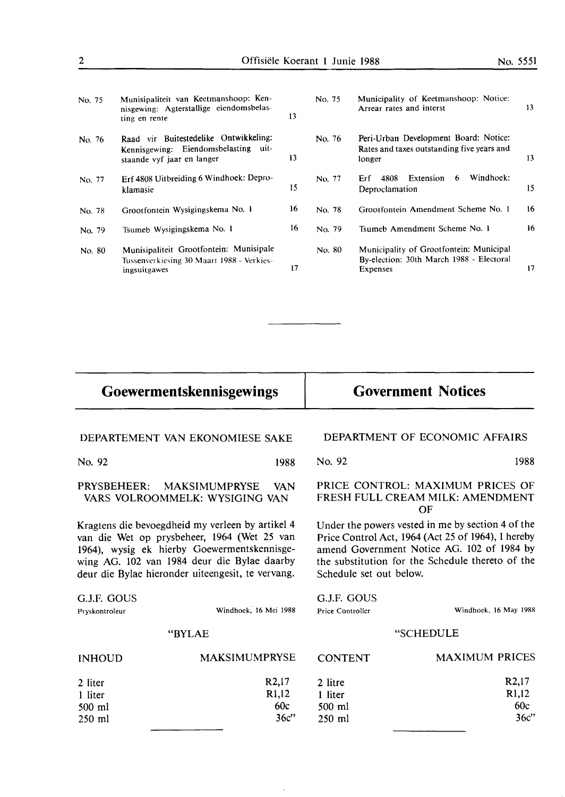| Munisipaliteit van Keetmanshoop: Ken-<br>nisgewing: Agterstallige eiendomsbelas-<br>ting en rente           | 13 | No. 75 | Municipality of Keetmanshoop: Notice:<br>Arrear rates and interst                               | 13  |
|-------------------------------------------------------------------------------------------------------------|----|--------|-------------------------------------------------------------------------------------------------|-----|
| Raad vir Buitestedelike Ontwikkeling:<br>Kennisgewing: Eiendomsbelasting uit-<br>staande vyf jaar en langer | 13 | No. 76 | Peri-Urban Development Board: Notice:<br>Rates and taxes outstanding five years and<br>longer   | 13  |
| Erf 4808 Uitbreiding 6 Windhoek: Depro-<br>klamasie                                                         | 15 | No. 77 | Windhoek:<br>Extension<br>6<br>4808<br>Erf<br>Deproclamation                                    | 15  |
| Grootfontein Wysigingskema No. 1                                                                            | 16 | No. 78 | Grootfontein Amendment Scheme No. 1                                                             | 16  |
| Tsumeb Wysigingskema No. 1                                                                                  | 16 | No. 79 | Tsumeb Amendment Scheme No. 1                                                                   | 16. |
| Munisipaliteit Grootfontein: Munisipale<br>Tussenverkiesing 30 Maart 1988 - Verkies-<br>ingsuitgawes        | 17 | No. 80 | Municipality of Grootfontein: Municipal<br>By-election: 30th March 1988 - Electoral<br>Expenses | 17  |
|                                                                                                             |    |        |                                                                                                 |     |

**Goewermentskennisgewings** 

# **Government Notices**

|                                                                                                                                                                                                                                                    | DEPARTEMENT VAN EKONOMIESE SAKE                               | DEPARTMENT OF ECONOMIC AFFAIRS                                                                                                                                                                                                       |                       |  |
|----------------------------------------------------------------------------------------------------------------------------------------------------------------------------------------------------------------------------------------------------|---------------------------------------------------------------|--------------------------------------------------------------------------------------------------------------------------------------------------------------------------------------------------------------------------------------|-----------------------|--|
| No. 92                                                                                                                                                                                                                                             | 1988                                                          | No. 92                                                                                                                                                                                                                               | 1988                  |  |
| PRYSBEHEER:                                                                                                                                                                                                                                        | MAKSIMUMPRYSE<br><b>VAN</b><br>VARS VOLROOMMELK: WYSIGING VAN | PRICE CONTROL: MAXIMUM PRICES OF<br>FRESH FULL CREAM MILK: AMENDMENT<br>OF                                                                                                                                                           |                       |  |
| Kragtens die bevoegdheid my verleen by artikel 4<br>van die Wet op prysbeheer, 1964 (Wet 25 van<br>1964), wysig ek hierby Goewermentskennisge-<br>wing AG. 102 van 1984 deur die Bylae daarby<br>deur die Bylae hieronder uiteengesit, te vervang. |                                                               | Under the powers vested in me by section 4 of the<br>Price Control Act, 1964 (Act 25 of 1964), I hereby<br>amend Government Notice AG. 102 of 1984 by<br>the substitution for the Schedule thereto of the<br>Schedule set out below. |                       |  |
| G.J.F. GOUS                                                                                                                                                                                                                                        |                                                               | G.J.F. GOUS                                                                                                                                                                                                                          |                       |  |
| Pryskontroleur                                                                                                                                                                                                                                     | Windhoek, 16 Mei 1988                                         | Price Controller                                                                                                                                                                                                                     | Windhoek, 16 May 1988 |  |
| <b>"BYLAE</b>                                                                                                                                                                                                                                      |                                                               | "SCHEDULE                                                                                                                                                                                                                            |                       |  |
|                                                                                                                                                                                                                                                    |                                                               |                                                                                                                                                                                                                                      |                       |  |

INHOUD 2 liter 1 liter 500 ml 250 ml MAKSIMUMPRYSE **R2,17 Rl,12**  60c 36c" **CONTENT** 2 litre 1 liter 500 ml 250 ml Windhoek, 16 May 1988 **SCHEDULE** MAXIMUM PRICES R2,17 Rl,12 60c 36c"

 $\ddot{\phantom{a}}$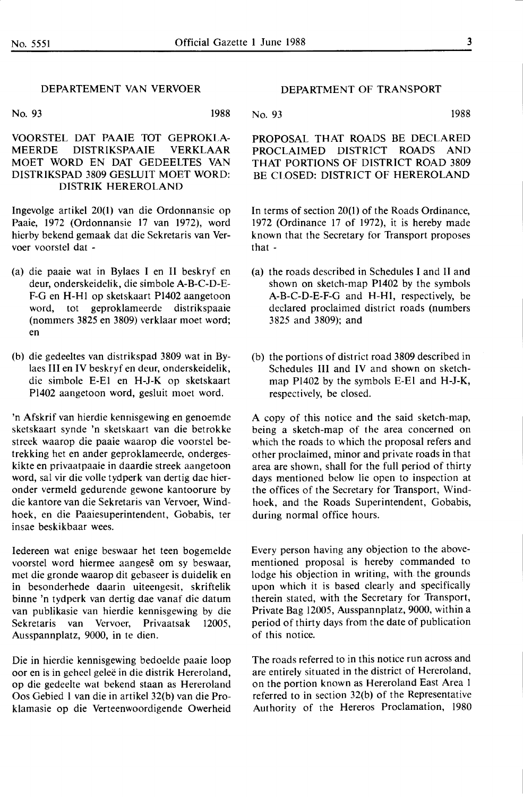### DEPARTEMENT VAN VERVOER

No. 93 1988

VOORSTEL DAT PAAIE TOT GEPROKLA-MEERDE DISTRIKSPAAIE VERKLAAR MOET WORD EN DAT GEDEELTES VAN DISTRIKSPAD 3809 GESLUIT MOET WORD: DISTRIK HEREROLAND

Ingevolge artikel 20(1) van die Ordonnansie op Paaie, 1972 (Ordonnansie 17 van 1972), word hierby bekend gemaak dat die Sekretaris van Vervoer voorstel dat -

- (a) die paaie wat in Bylaes I en II beskryf en deur, onderskeidelik, die simbole A-B-C-D-E-F-G en **H-Hl** op sketskaart Pl402 aangetoon word, tot geproklameerde distrikspaaie (nommers 3825 en 3809) verklaar moet word; en
- (b) die gedeeltes van distrikspad 3809 wat in Bylaes III en IV beskryf en deur, onderskeidelik, die simbole E-El en **H-J-K** op sketskaart Pl402 aangetoon word, gesluit moet word.

'n Afskrif van hierdie kennisgewing en genoemde sketskaart synde 'n sketskaart van die betrokke streek waarop die paaie waarop die voorstel betrekking het en ander geproklameerde, ondergeskikte en privaatpaaie in daardie streek aangetoon word, sal vir die volle tydperk van dertig dae hieronder vermeld gedurende gewone kantoorure by die kantore van die Sekretaris van Vervoer, Windhoek, en die Paaiesuperintendent, Gobabis, ter insae beskikbaar wees.

Iedereen wat enige beswaar het teen bogemelde voorstel word hiermee aangesê om sy beswaar, met die gronde waarop dit gebaseer is duidelik en in besonderhede daarin uiteengesit, skriftelik binne 'n tydperk van dertig dae vanaf die datum van publikasie van hierdie kennisgewing by die Sekretaris van Vervoer, Privaatsak 12005, Ausspannplatz, 9000, in te dien.

Die in hierdie kennisgewing bedoelde paaie loop oor en is in geheel gelee in die distrik Hereroland, op die gedeelte wat bekend staan as Hereroland Oos Gebied I van die in artikel 32(b) van die Proklamasie op die Verteenwoordigende Owerheid

## DEPARTMENT OF TRANSPORT

No. 93 1988

PROPOSAL THAT ROADS BE DECLARED PROCLAIMED DISTRICT ROADS AND THAT PORTIONS OF DISTRICT ROAD 3809 BE CLOSED: DISTRICT OF HEREROLAND

In terms of section 20(1) of the Roads Ordinance, 1972 (Ordinance 17 of 1972), it is hereby made known that the Secretary for Transport proposes that -

- (a) the roads described in Schedules I and II and shown on sketch-map P1402 by the symbols A-B-C-D-E-F-G and H-Hl, respectively, be declared proclaimed district roads (numbers 3825 and 3809); and
- (b) the portions of district road 3809 described in Schedules III and IV and shown on sketchmap Pl402 by the symbols E-El and H-J-K, respectively, be closed.

A copy of this notice and the said sketch-map, being a sketch-map of the area concerned on which the roads to which the proposal refers and other proclaimed, minor and private roads in that area are shown, shall for the full period of thirty days mentioned below lie open to inspection at the offices of the Secretary for Transport, Windhoek, and the Roads Superintendent, Gobabis, during normal office hours.

Every person having any objection to the abovementioned proposal is hereby commanded to lodge his objection in writing, with, the grounds upon which it is based clearly and specifically therein stated, with the Secretary for Transport, Private Bag 12005, Ausspannplatz, 9000, within a period of thirty days from the date of publication of this notice.

The roads referred to in this notice run across and are entirely situated in the district of Hereroland, on the portion known as Hereroland East Area 1 referred to in section 32(b) of the Representative Authority of the Hereros Proclamation, 1980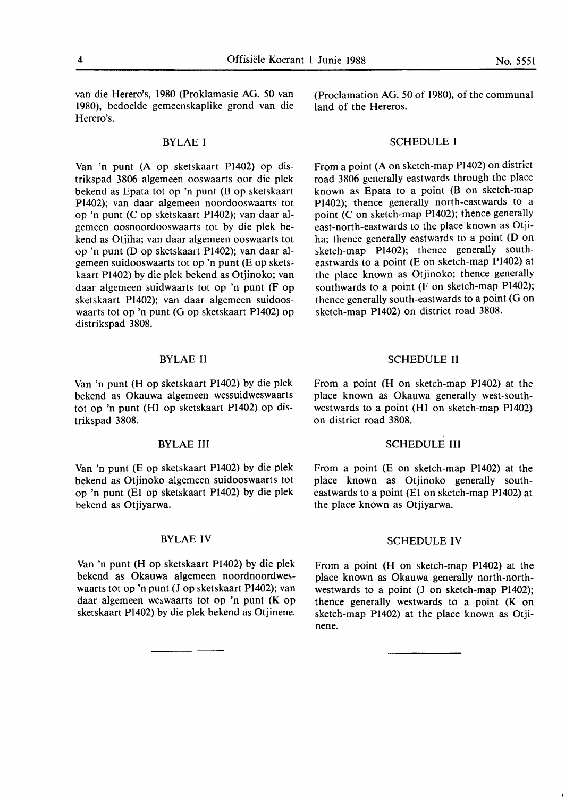van die Herero's, 1980 (Proklamasie AG. *50* van 1980), bedoelde gemeenskaplike grond van die Herero's.

### BYLAE I

Van 'n punt (A op sketskaart Pl402) op distrikspad 3806 algemeen ooswaarts oor die plek bekend as Epata tot op 'n punt (B op sketskaart Pl402); van daar algemeen noordooswaarts tot op 'n punt (C op sketskaart Pl402); van daar algemeen oosnoordooswaarts tot by die plek bekend as Otjiha; van daar algemeen ooswaarts tot op 'n punt (D op sketskaart Pl402); van daar algemeen suidooswaarts tot op 'n punt (E op sketskaart Pl402) by die plek bekend as Otjinoko; van daar algemeen suidwaarts tot op 'n punt (F op sketskaart **PI402);** van daar algemeen suidooswaarts tot op 'n punt (G op sketskaart Pl402) op distrikspad 3808.

### BYLAE II

Van 'n punt (H op sketskaart Pl402) by die plek bekend as Okauwa algemeen wessuidweswaarts tot op 'n punt (HI op sketskaart Pl402) op distrikspad 3808.

### BYLAEIII

Van 'n punt (E op sketskaart Pl402) by die plek bekend as Otjinoko algemeen suidooswaarts tot op 'n punt (El op sketskaart Pl402) by die plek bekend as Otjiyarwa.

### BYLAEIV

Van 'n punt (H op sketskaart Pl402) by die plek bekend as Okauwa algemeen noordnoordweswaarts tot op 'n punt **(J** op sketskaart Pl402); van daar algemeen weswaarts tot op 'n punt (K op sketskaart Pl402) by die plek bekend as Otjinene.

(Proclamation AG. *50* of 1980), of the communal land of the Hereros.

### SCHEDULE I

From a point (A on sketch-map Pl402) on district road 3806 generally eastwards through the place known as Epata to a point (B on sketch-map Pl402); thence generally north-eastwards to a point (C on sketch-map Pl402); thence- generally east-north-eastwards to the place known as Otjiha; thence generally eastwards to a point (D on sketch-map Pl402); thence generally southeastwards to a point (E on sketch-map Pl402) at the place known as Otjinoko; thence generally southwards to a point (F on sketch-map Pl402); thence generally south-eastwards to a point (G on sketch-map Pl402) on district road 3808.

### SCHEDULE II

From a point (H on sketch-map Pl402) at the place known as Okauwa generally west-southwestwards to a point (HI on sketch-map Pl402) on district road 3808.

### SCHEDULE III

From a point (E on sketch-map Pl402) at the place known as Otjinoko generally southeastwards to a point (El on sketch-map Pl402) at the place known as Otjiyarwa.

### SCHEDULE IV

From a point (H on sketch-map Pl402) at the place known as Okauwa generally north-northwestwards to a point (J on sketch-map Pl402); thence generally westwards to a point **(K** on sketch-map Pl402) at the place known as Otjinene.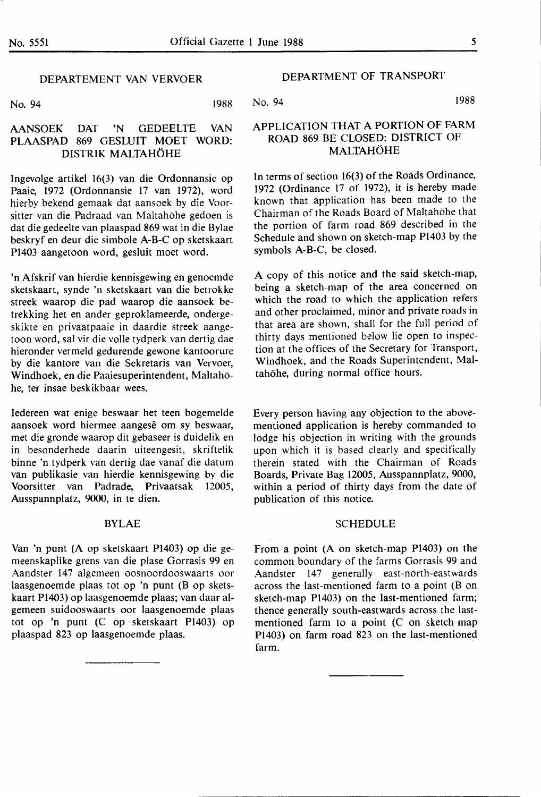### DEPARTEMENT VAN VERVOER

No. 94 1988

### No. 94 **1988**

### AANSOEK DAT 'N GEDEELTE VAN PLAASPAD 869 GESLUIT MOET WORD: DISTRIK MALTAHOHE

lngevolge artikel 16(3) van die Ordonnansie op Paaie, 1972 (Ordonnansie 17 van 1972), word hierby bekend gemaak dat aansoek by die Voorsitter van die Padraad van Maltahöhe gedoen is dat die gedeelte van plaaspad 869 wat in die Bylae beskryf en deur die simbole A-B-C op sketskaart P1403 aangetoon word, gesluit moet word.

'n Afskrif van hierdie kennisgewing en genoemde sketskaart, synde 'n sketskaart van die betrokke streek waarop die pad waarop die aansoek betrekking het en ander geproklameerde, ondergeskikte en privaatpaaie in daardie streek aangetoon word, sal vir die voile tydperk van dertig dae hieronder vermeld gedurende gewone kantoorure by die kantore van die Sekretaris van Vervoer, Windhoek, en die Paaiesuperintendent, Maltahohe, ter insae beskikbaar wees.

Iedereen wat enige beswaar het teen bogemelde aansoek word hiermee aangesê om sy beswaar, met die gronde waarop dit gebaseer is duidelik en in besonderhede daarin uiteengesit, skriftelik binne 'n tydperk van dertig dae vanaf die datum van publikasie van hierdie kennisgewing by die Voorsitter van Padrade, Privaatsak 12005, Ausspannplatz, 9000, in te dien.

### BYLAE

Van 'n punt (A op sketskaart P1403) op die gemeenskaplike grens van die plase Gorrasis 99 en Aandster 147 algemeen oosnoordooswaarts oor laasgenoemde plaas tot op 'n punt (B op sketskaart P1403) op laasgenoemde plaas; van daar algemeen suidooswaarts oor laasgenoemde plaas tot op 'n punt (C op sketskaart P1403) op plaaspad 823 op laasgenoemde plaas.

### **DEPARTMENT** OF **TRANSPORT**

### **APPLICATION THAT A PORTION OF FARM ROAD 869** BE CLOSED: DISTRICT OF MALTAHOHE

ln terms of section 16(3) of the Roads Ordinance, 1972 (Ordinance 17 of 1972), it is hereby made known that application has been made to the Chairman of the Roads Board of Maltahohe that the portion of farm road 869 described in the Schedule and shown on sketch-map P1403 by the symbols **A-B-C,** be closed.

A copy of this notice and the said sketch-map, being a sketch-map of the area concerned on which the road to which the application refers and other proclaimed, minor and private roads in that area are shown, shall for the full period of thirty days mentioned below lie open to inspection at the offices of the Secretary for Transport, Windhoek, and the Roads Superintendent, Maltahöhe, during normal office hours.

Every person having any objection to the abovementioned application is hereby commanded to lodge his objection in writing with the grounds upon which it is based clearly and specifically therein stated with the Chairman of Roads Boards, Private Bag 12005, Ausspannplatz, 9000, within a period of thirty days from the date of publication of this notice.

### SCHEDULE

From a point (A on sketch-map P1403) on the common boundary of the farms Gorrasis 99 and Aandster 147 generally east-north-eastwards across the last-mentioned farm to a point  $(B \text{ on } \mathbb{R})$ sketch-map P1403) on the last-mentioned farm; thence generally south-eastwards across the lastmentioned farm to a point (C on sketch-map P1403) on farm road 823 on the last-mentioned farm.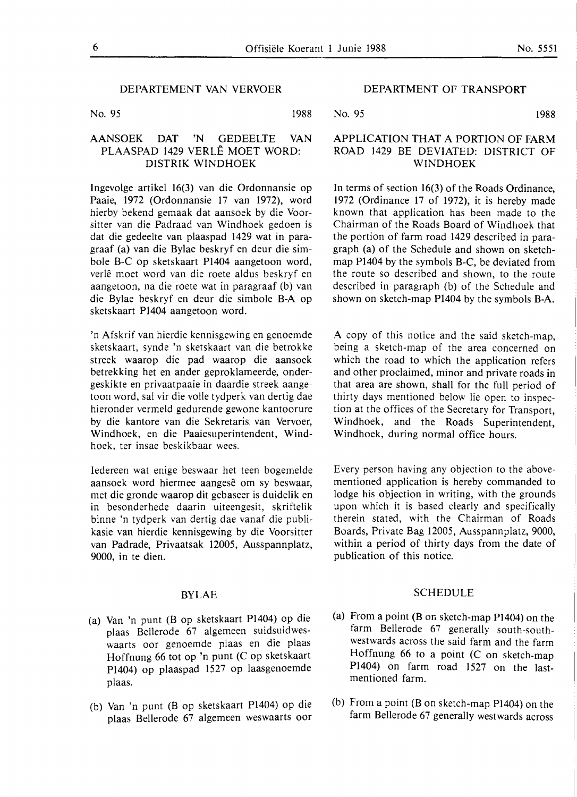No. 95 1988

### **AANSOEK DAT 'N** GEDEELTE VAN PLAASPAD 1429 VERLE **MOET WORD: DISTRIK WINDHOEK**

Ingevolge artikel 16(3) van die Ordonnansie op Paaie, 1972 (Ordonnansie 17 van 1972), word hierby bekend gemaak dat aansoek by die Voorsitter van die Padraad van Windhoek gedoen is dat die gedeelte van plaaspad 1429 wat in paragraaf (a) van die Bylae beskryf en deur die simbole B-C op sketskaart P1404 aangetoon word, verle moet word van die roete aldus beskryf en aangetoon, na die roete wat in paragraaf (b) van die Bylae beskryf en deur die simbole **B-A** op sketskaart P1404 aangetoon word.

'n Afskrif van hierdie kennisgewing en genoemde sketskaart, synde 'n sketskaart van die betrokke streek waarop die pad waarop die aansoek betrekking het en ander geproklameerde, ondergeskikte en privaatpaaie in daardie streek aangetoon word, sal vir die voile tydperk van dertig dae hieronder vermeld gedurende gewone kantoorure by die kantore van die Sekretaris. van Vervoer, Windhoek, en die Paaiesuperintendent, Windhoek, ter insae beskikbaar wees.

Iedereen wat enige beswaar het teen bogemelde aansoek word hiermee aangesê om sy beswaar, met die gronde waarop dit gebaseer is duidelik en in besonderhede daarin uiteengesit, skriftelik binne 'n tydperk van dertig dae vanaf die publikasie van hierdie kennisgewing by die Voorsitter van Padrade, Privaatsak 12005, Ausspannplatz, 9000, in te dien.

### BYLAE

- (a) Van 'n punt (B op sketskaart P1404) op die plaas Bellerode 67 algemeen suidsuidweswaarts oor genoemde plaas en die plaas Hoffnung 66 tot op 'n punt (C op sketskaart P1404) op plaaspad 1527 op laasgenoemde plaas.
- (b) Van 'n punt (B op sketskaart P1404) op die plaas Bellerode 67 algemcen weswaarts oor

### DEPARTMENT OF TRANSPORT

No. 95 1988

### APPLICATION THAT A PORTION OF FARM ROAD 1429 BE DEVIATED: DISTRICT OF **WINDHOEK**

In terms of section 16(3) of the Roads Ordinance, 1972 (Ordinance 17 of 1972), it is hereby made known that application has been made to the Chairman of the Roads Board of Windhoek that the portion of farm road 1429 described in paragraph (a) of the Schedule and shown on sketchmap P1404 by the symbols B-C, be deviated from the route so described and shown, to the route described in paragraph (b) of the Schedule and shown on sketch-map P1404 by the symbols **B-A.** 

**A** copy of this notice and the said sketch-map, being a sketch-map of the area concerned on which the road to which the application refers and other proclaimed, minor and private roads in that area are shown, shall for the full period of thirty days mentioned below lie open to inspection at the offices of the Secretary for Transport, Windhoek, and the Roads Superintendent, Windhoek, during normal office hours.

Every person having any objection to the abovementioned application is hereby commanded to lodge his objection in writing, with the grounds upon which it is based clearly and specifically therein stated, with the Chairman of Roads Boards, Private Bag 12005, Ausspannplatz, 9000, within a period of thirty days from the date of publication of this notice.

### SCHEDULE

- (a) From a point (B on sketch-map Pl404) on the farm Bellerode 67 generally south-southwestwards across the said farm and the farm Hoffnung 66 to a point (C on sketch-map P1404) on farm road 1527 on the lastmentioned farm.
- (b) From a point (Bon sketch-map P1404) on the farm Bellerode 67 generally westwards across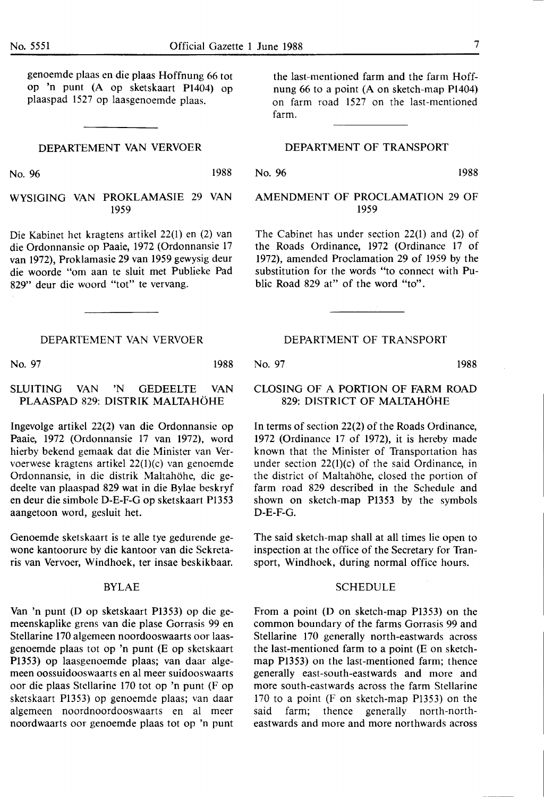genoemde plaas en die plaas Hoffnung 66 tot op 'n punt (A op sketskaart P1404) op plaaspad 1527 op laasgenoemde plaas.

### DEPARTEMENT VAN VERVOER

No. 96 1988

WYSIGING VAN PROKLAMASIE 29 VAN 1959

Die Kabinet het kragtens artikel 22(1) en (2) van die Ordonnansie op Paaie, 1972 (Ordonnansie 17 van 1972), Proklamasie 29 van 1959 gewysig deur die woorde "om aan te sluit met Publieke Pad 829" deur die woord "tot" te vervang.

### **DEPARTEMENT VAN VERVOER**

No. 97 **1988** 

### SLUITING **VAN 'N** GEDEELTE VAN PLAASPAD 829: DISTRIK MALTAHOHE

Ingevolge artikel 22(2) van die Ordonnansie op Paaie, 1972 (Ordonnansie 17 van 1972), word hierby bekend gemaak dat die Minister van Vervoerwese kragtens artikel 22(1)(c) van genoemde Ordonnansie, in die distrik Maltahöhe, die gedeelte van plaaspad 829 wat in die Bylae beskryf en deur die simbole D-E-F-G op sketskaart P1353 aangetoon word, gesluit het.

Genoemde sketskaart is te alle tye gedurende gewone kantoorure by die kantoor van die Sekretaris van Vervoer, Windhoek, ter insae beskikbaar.

### **BYLAE**

Van 'n punt (D op sketskaart P1353) op die gemeenskaplike grens van die plase Gorrasis 99 en Stellarine 170 algemeen noordooswaarts oor laasgenoemde plaas tot op 'n punt (E op sketskaart P1353) op laasgenoemde plaas; van daar algemeen oossuidooswaarts en al meer suidooswaarts oor die plaas Stellarine 170 tot op 'n punt (F op sketskaart P1353) op genoemde plaas; van daar algemeen noordnoordooswaarts en al meer noordwaarts oor genoemde plaas tot op 'n punt the last-mentioned farm and the farm Hoffnung 66 to a point (A on sketch-map Pl404) on farm road 1527 on the last-mentioned farm.

### DEPARTMENT OF TRANSPORT

No. 96 1988

AMENDMENT OF PROCLAMATION 29 OF 1959

The Cabinet has under section 22(1) and (2) of the Roads Ordinance, 1972 (Ordinance 17 of 1972), amended Proclamation 29 of 1959 by the substitution for the words "to connect with Public Road 829 at" of the word "to".

**DEPARTMENT OF TRANSPORT** 

No. 97 **1988** 

### CLOSING OF A PORTION OF FARM ROAD 829: DISTRICT OF MALTAHOHE

In terms of section 22(2) of the Roads Ordinance, 1972 (Ordinance 17 of 1972), it is hereby made known that the Minister of Transportation has under section  $22(1)(c)$  of the said Ordinance, in the district of Maltahöhe, closed the portion of farm road 829 described in the Schedule and shown on sketch-map P1353 by the symbols D-E-F-G.

The said sketch-map shall at all times lie open to inspection at the office of the Secretary for Transport, Windhoek, during normal office hours.

### SCHEDULE

From a point (D on sketch-map P1353) on the common boundary of the farms Gorrasis 99 and Stellarine 170 generally north-eastwards across the last-mentioned farm to a point (E on sketchmap Pl353) on the last-mentioned farm; thence generally east-south-eastwards and more and more south-eastwards across the farm Stellarine 170 to a point (F on sketch-map P1353) on the said farm; thence generally north-northeastwards and more and more northwards across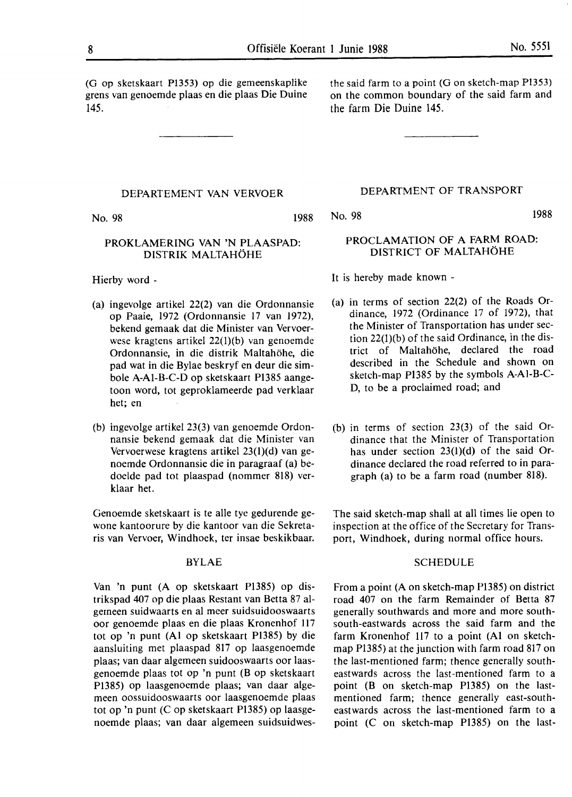(G op sketskaart Pl353) op die gemeenskaplike grens van genoemde plaas en **die** plaas Die Duine 145.

### DEPARTEMENT VAN VERVOER

No. 98 1988

### PROKLAMERING VAN 'N PLAASPAD: DISTRIK MALTAHOHE

Hierby word -

- (a) ingevolge artikel 22(2) van die Ordonnansie op Paaie, 1972 (Ordonnansie 17 van 1972), bekend gemaak dat die Minister **van** Vervoerwese kragtens artikel 22(1)(b) van genoemde Ordonnansie, in die distrik Maltahohe, die pad wat in die Bylae beskryf en deur die simbole A-Al-B-C-D op sketskaart P1385 aangetoon word, tot geproklameerde pad verklaar het; en
- (b) ingevolge artikel 23(3) van genoemde Ordonnansie bekend gemaak dat die Minister van Vervoerwese kragtens artikel 23(l)(d) van genoemde Ordonnansie die in paragraaf (a) bedoelde pad tot plaaspad (nommer 818) verklaar het.

Genoemde sketskaart is te alle tye gedurende gewone kantoorure by die kantoor van die Sekretaris van Vervoer, Windhoek, ter insae beskikbaar.

### BYLAE

Van 'n punt (A op sketskaart PI385) op distrikspad 407 op die plaas Restant van Betta 87 algemeen suidwaarts en al meer suidsuidooswaarts oor genoemde plaas en die plaas Kronenhof 117 tot op 'n punt (Al op sketskaart P1385) by die aansluiting met plaaspad 817 op laasgenoemde plaas; van daar algemeen suidooswaarts oor laasgenoemde plaas tot op 'n punt (B op sketskaart Pl385) op laasgenoemde plaas; van daar algemeen oossuidooswaarts oor laasgenoemde plaas tot op 'n punt (C op sketskaart P1385) op laasgenoemde plaas; van daar algemeen suidsuidwesthe said farm to a point (G on sketch-map Pl353) on the common boundary of the said farm and the farm Die Duine 145.

### DEPARTMENT OF TRANSPORT

No. 98 1988

### PROCLAMATION OF A FARM ROAD: DISTRICT OF MALTAHOHE

It is hereby made known -

- (a) in terms of section 22(2) of the Roads Ordinance, 1972 (Ordinance 17 of 1972), that the Minister of Transportation **has** under section 22(1)(b) of the said Ordinance, in the district of Maltahohe, declared the road described in the Schedule and shown on sketch-map Pl385 by the symbols A-Al-B-C-D, to be a proclaimed road; and
- (b) in terms of section 23(3) of the said Ordinance that the Minister of Transportation has under section 23(l)(d) of the said Ordinance declared the road referred to in paragraph (a) to be a farm road (number 818).

The said sketch-map shall at all times lie open to inspection at the office of the Secretary for Transport, Windhoek, during normal office hours.

### **SCHEDULE**

From a point (A on sketch-map P1385) on district road 407 on the farm Remainder of Betta 87 generally southwards and more and more southsouth-eastwards across the said farm and the farm Kronenhof 117 to a point (Al on sketchmap P1385) at the junction with farm road 817 on the last-mentioned farm; thence generally southeastwards across the last-mentioned farm to a point (B on sketch-map P1385) on the lastmentioned farm; thence generally east-southeastwards across the last-mentioned farm to a point (C on sketch-map P1385) on the last-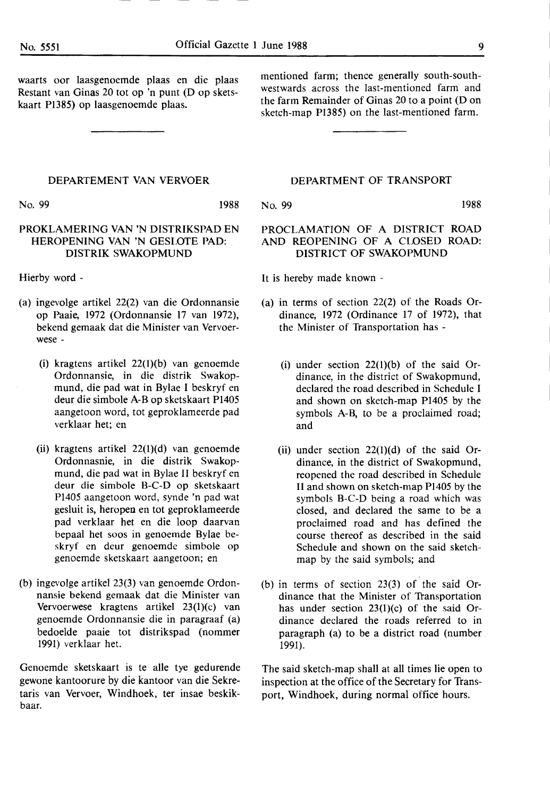waarts oor laasgenoemde plaas en die plaas Restant van Ginas 20 tot op 'n punt (D op sketskaart P1385) op laasgenoemde plaas.

mentioned farm; thence generally south-southwestwards across the last-mentioned farm and the farm Remainder of Ginas 20 to a point (D on sketch-map Pl385) on the last-mentioned farm.

### **DEPARTEMENT VAN VERVOER**

No. 99 **1988** 

### PROKLAMERING VAN 'N DISTRIKSPAD EN HEROPENING VAN 'N GESLOfE PAD: . DISTRIK SWAKOPMUND

Hierby word -

- (a) ingevolge artikel 22(2) van die Ordonnansie op Paaie, 1972 (Ordonnansie 17 van 1972), bekend gemaak dat die Minister van Vervoerwese -
	- (i) kragtens artikel 22(l)(b) van genoemde Ordonnansie, in die distrik Swakopmund, die pad wat in Bylae I beskryf en deur die simbole A-B op sketskaart Pl405 aangetoon word, tot geproklameerde pad verklaar het; en
	- (ii) kragtens artikel 22(l)(d) van genoemde Ordonnasnie, in die distrik Swakopmund, die pad wat in Bylae II beskryf en deur die simbole B-C-D op sketskaart Pl405 aangetoon word, synde 'n pad wat gesluit is, heropea en tot geproklameerde pad verklaar het en die loop daarvan bepaal het soos in genoemde Bylae beskryf en deur genoemde simbole op genoemde sketskaart aangetoon; en
- (b) ingevolge artikel 23(3) van genoemde Ordonnansie bekend gemaak dat die Minister van Vervoerwese kragtens artikel 23(l)(c) van genoemde Ordonnansie die in paragraaf (a) bedoelde paaie tot distrikspad (nommer 1991) verklaar het.

Genoemde sketskaart is te alle tye gedurende gewone kantoorure by die kantoor van die Sekretaris van Vervoer, Windhoek, ter insae beskikbaar.

### DEPARTMENT OF TRANSPORT

No. 99 1988

### PROCLAMATION OF A DISTRICT ROAD AND REOPENING OF A CLOSED ROAD: DISTRICT OF SWAKOPMUND

It is hereby made known -

- (a) in terms of section 22(2) of the Roads Ordinance, 1972 (Ordinance 17 of 1972), that the Minister of Transportation has -
	- (i) under section  $22(1)(b)$  of the said Ordinance, in the district of Swakopmund, declared the road described in Schedule I and shown on sketch-map P1405 by the symbols A-B, to be a proclaimed road; and
	- (ii) under section  $22(1)(d)$  of the said Ordinance, in the district of Swakopmund, reopened the road described in Schedule II and shown on sketch-map P1405 by the symbols B-C-D being a road which was closed, and declared the same to be a proclaimed road and has defined the course thereof as described in the said Schedule and shown on the said sketchmap by the said symbols; and
- (b) in terms of section 23(3) of the said Ordinance that the Minister of Transportation has under section 23(1)(c) of the said Ordinance declared the roads referred to in paragraph (a) to be a district road (number **1991).**

The said sketch-map shall at all times lie open to inspection at the office of the Secretary for Transport, Windhoek, during normal office hours.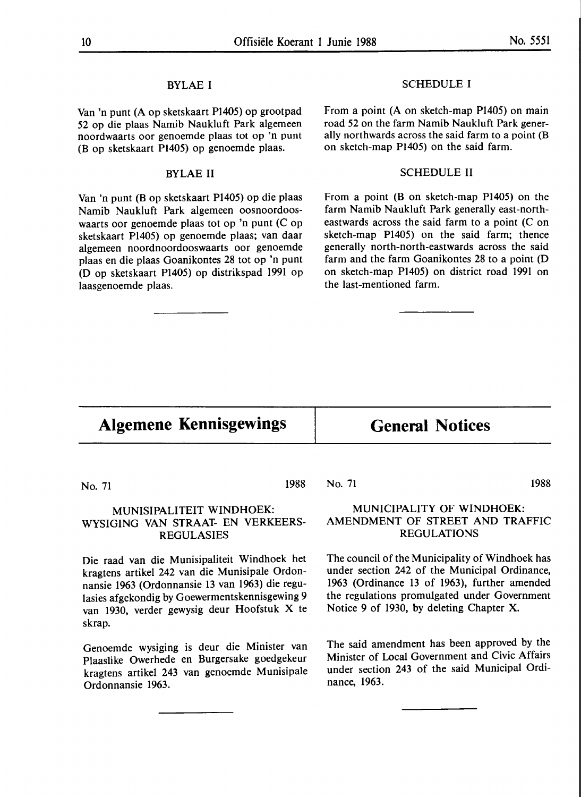### BYLAE I

Van 'n punt (A op sketskaart P1405) op grootpad 52 op die plaas Namib Naukluft Park algemeen noordwaarts oor genoemde plaas tot op 'n punt (B op sketskaart Pl405) op genoemde plaas.

### BYLAE II

Van 'n punt (Bop sketskaart P1405) op die plaas Namib Naukluft Park algemeen oosnoordooswaarts oor genoemde plaas tot op 'n punt (C op sketskaart P1405) op genoemde plaas; van daar algemeen noordnoordooswaarts oor genoemde plaas en die plaas Goanikontes 28 tot op 'n punt (D op sketskaart P1405) op distrikspad 1991 op laasgenoemde plaas.

### SCHEDULE I

From a point (A on sketch-map P1405) on main road 52 on the farm Namib Naukluft Park generally northwards across the said farm to a point (B on sketch-map Pl405) on the said farm.

### SCHEDULE II

From a point (B on sketch-map Pl405) on the farm Namib Naukluft Park generally east-northeastwards across the said farm to a point (C on sketch-map P1405) on the said farm; thence generally north-north-eastwards across the said farm and the farm Goanikontes 28 to a point (D on sketch-map Pl405) on district road 1991 on the last-mentioned farm.

# **Algemene Kennisgewings General Notices**

No. 71 1988

### MUNISIPALITEIT WINDHOEK: WYSIGING VAN STRAAT- EN VERKEERS-REGULASIES

Die raad van die Munisipaliteit Windhoek het kragtens artikel 242 van die Munisipale Ordonnansie 1963 (Ordonnansie 13 van 1963) die regulasies afgekondig by Goewermentskennisgewing 9 van 1930, verder gewysig deur Hoofstuk X te skrap.

Genoemde wysiging is deur die Minister van Plaaslike Owerhede en Burgersake goedgekeur kragtens artikel 243 van genoemde Munisipale Ordonnansie 1963.

### No. 71 1988

### **MUNICIPALITY OF WINDHOEK: AMENDMENT OF** STREET **AND TRAFFIC REGULATIONS**

The council of the Municipality of Windhoek has under section 242 of the Municipal Ordinance, 1963 (Ordinance 13 of 1963), further amended the regulations promulgated under Government Notice 9 of 1930, by deleting Chapter X.

The said amendment has been approved by the Minister of Local Government and Civic Affairs under section 243 of the said Municipal Ordinance, 1963.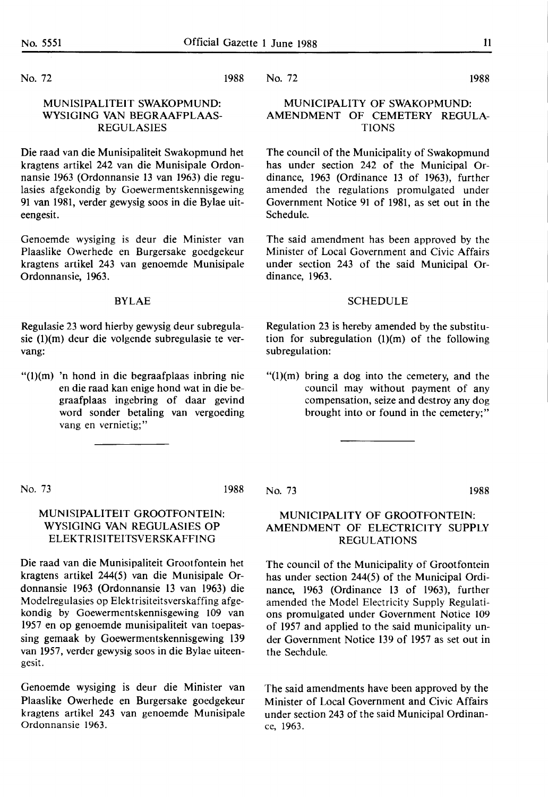No. 72

### **1988**

### No. 72 1988

### MUNISIPALITEIT SWAKOPMUND: WYSIGING VAN BEGRAAFPLAAS-REGULASIES

Die raad van die Munisipaliteit Swakopmund het kragtens artikel 242 van die Munisipale Ordonnansie 1963 (Ordonnansie 13 van 1963) die regulasies afgekondig by Goewermentskennisgewing 91 van 1981, verder gewysig soos in die Bylae uiteengesit.

Genoemde wysiging is deur die Minister van Plaaslike Owerhede en Burgersake goedgekeur kragtens artikel 243 van genoemde Munisipale Ordonnansie, 1963.

### **BYLAE**

Regulasie 23 word hierby gewysig deur subregulasie (l)(m) deur die volgende subregulasie te vervang:

"(l)(m) 'n hond in die begraafplaas inbring nie en die raad kan enige hond wat in die begraaf plaas ingebring of daar gevind word sonder betaling van vergoeding vang en vernietig;"

### MUNICIPALITY OF SWAKOPMUND: AMENDMENT OF CEMETERY REGULA-TIONS

The council of the Municipality of Swakopmund has under section 242 of the Municipal Ordinance, 1963 (Ordinance 13 of 1963), further amended the regulations promulgated under Government Notice 91 of 1981, as set out in the Schedule.

The said amendment has been approved by the Minister of Local Government and Civic Affairs under section 243 of the said Municipal Ordinance, 1963.

### SCHEDULE

Regulation 23 is hereby amended by the substitution for subregulation  $(1)(m)$  of the following subregulation:

 $''(1)(m)$  bring a dog into the cemetery, and the council may without payment of any compensation, seize and destroy any dog brought into or found in the cemetery;"

No. 73 **1988** 

No. 73 **1988** 

### MUNICIPALITY OF GROOTFONTEIN: AMENDMENT OF ELECTRICITY SUPPLY REGULATIONS

The council of the Municipality of Grootfontein has under section 244(5) of the Municipal Ordinance, 1963 (Ordinance 13 of 1963), further amended the Model Electricity Supply Regulations promulgated under Government Notice 109 of 1957 and applied to the said municipality under Government Notice 139 of 1957 as set out in the Sechdule.

The said amendments have been approved by the Minister of Local Government and Civic Affairs under section 243 of the said Municipal Ordinance, 1963.

### MUNISIPALITEIT GROOTFONTEIN: WYSIGING VAN REGULASIES OP ELEKTRISITEITSVERSKAFFING

Die raad van die Munisipaliteit Grootfontein het kragtens artikel 244(5) van die Munisipale Ordonnansie 1963 (Ordonnansie 13 van 1963) die Modelregulasies op Elektrisiteitsverskaffing afgekondig by Goewermentskennisgewing 109 van 1957 en op genoemde munisipaliteit van toepassing gemaak by Goewermentskennisgewing 139 van 1957, verder gewysig soos in die Bylae uiteengesit.

Genoemde wysiging is deur die Minister van Plaaslike Owerhede en Burgersake goedgekeur kragtens artikel 243 van genoemde Munisipale Ordonnansie **1963.**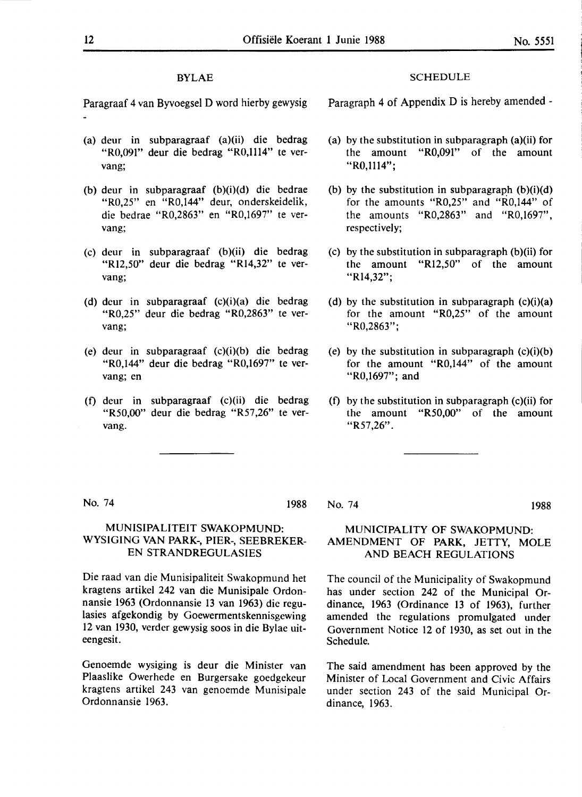### **BYLAE**

Paragraaf 4 van Byvoegsel D word hierby gewysig

- (a) deur in subparagraaf (a)(ii) die bedrag "R0,091" deur die bedrag "R0,1114" te vervang;
- (b) deur in subparagraaf (b)(i)(d) die bedrae "R0,25" en "R0,144" deur, onderskeidelik, die bedrae "R0,2863" en "R0,1697" te vervang;
- (c) deur in subparagraaf (b)(ii) die bedrag "Rl2,50" deur die bedrag "Rl4,32" te vervang;
- (d) deur in subparagraaf (c)(i)(a) die bedrag "R0,25" deur die bedrag "R0,2863" te vervang;
- (e) deur in subparagraaf (c)(i)(b) die bedrag "R0,144" deur die bedrag "R0,1697" te vervang; en
- (f) deur in subparagraaf (c)(ii) die bedrag "RS0,00" deur die bedrag "R57,26" te vervang.

### **SCHEDULE**

Paragraph 4 of Appendix D is hereby amended -

- (a) by the substitution in subparagraph (a)(ii) for the amount "R0,091" of the amount "R0,1114";
- (b) by the substitution in subparagraph  $(b)(i)(d)$ for the amounts "R0,25" and "R0,144" of the amounts "R0,2863" and "R0,1697", respectively;
- (c) by the substitution in subparagraph (b)(ii) for the amount "Rl2,50" of the amount "Rl4,32";
- (d) by the substitution in subparagraph  $(c)(i)(a)$ for the amount **"R0,25"** of the amount **"R0,2863";**
- (e) by the substitution in subparagraph  $(c)(i)(b)$ for the amount "R0,144" of the amount "R0,1697"; and
- (f) by the substitution in subparagraph (c)(ii) for the amount "RS0,00" of the amount "R57,26".

No. 74 1988

### MUNISIPALITEIT SWAKOPMUND: WYSIGING VAN PARK-, PIER-, SEEBREKER-EN **STRANDREGULASIES**

Die raad van die Munisipaliteit Swakopmund het kragtens artikel 242 van die Munisipale Ordonnansie 1963 (Ordonnansie 13 van 1963) die regulasies afgekondig by Goewermentskennisgewing 12 van 1930, verder gewysig soos in die Bylae uiteengesit.

Genoemde wysiging is deur die Minister van Plaaslike Owerhede en Burgersake goedgekeur kragtens artikel 243 van genoemde Munisipale Ordonnansie 1963.

No. 74 1988

### MUNICIPALITY OF SWAKOPMUND: AMENDMENT OF **PARK,** JETTY, MOLE AND BEACH REGULATIONS

The council of the Municipality of Swakopmund has under section 242 of the Municipal Ordinance, 1963 (Ordinance 13 of 1963), further amended the regulations promulgated under Government Notice 12 of 1930, as set out in the Schedule.

The said amendment has been approved by the Minister of Local Government and Civic Affairs under section 243 of the said Municipal Ordinance, 1963.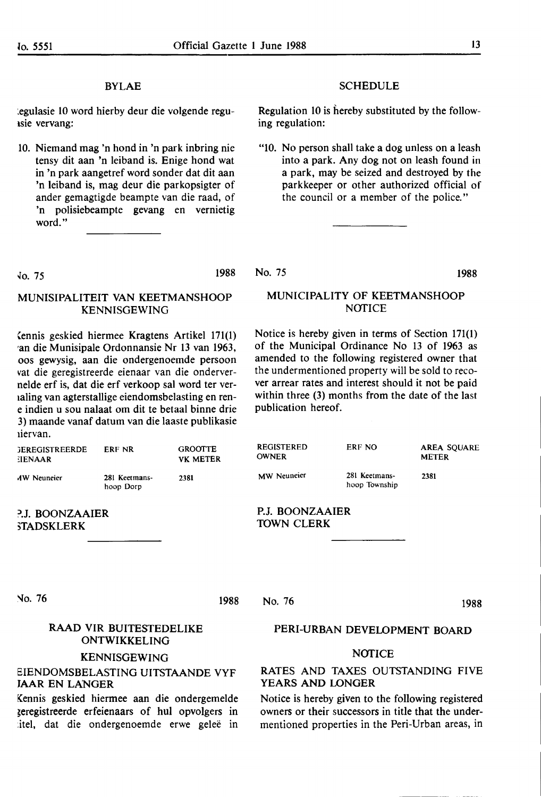### **BYLAE**

'.egulasie 10 word hierby deur die volgende reguisie vervang:

10. Niemand mag 'n bond in 'n park inbring nie tensy dit aan 'n leiband is. Enige bond wat in 'n park aangetref word sonder dat dit aan 'n leiband is, mag deur die parkopsigter of ander gemagtigde beampte van die raad, of 'n polisiebeampte gevang en vernietig word."

### **SCHEDULE**

Regulation 10 is hereby substituted by the following regulation:

"10. No person shall take a dog unless on a leash into a park. Any dog not on leash found in **a park,** may be seized and destroyed by the parkkeeper or other authorized official of the council or a member of the police."

fo. 75 1988

### MUNISIPALITEIT VAN KEETMANSHOOP KENNISGEWING

Cennis geskied hiermee Kragtens Artikel 171(1) •an die Munisipale Ordonnansie Nr 13 van 1963, .oos gewysig, aan die ondergenoemde persoon vat die geregistreerde eienaar van die ondervernelde erf is, dat die erf verkoop sal word ter ver-1aling van agterstallige eiendomsbelasting en rene indien u sou nalaat om dit te betaal binne drie 3) maande vanaf datum van die laaste publikasie 1iervan.

| <b>GEREGISTREERDE</b><br>EIENAAR | ERF NR                     | <b>GROOTTE</b><br><b>VK METER</b> |
|----------------------------------|----------------------------|-----------------------------------|
| <b>AW Neuneier</b>               | 281 Keetmans-<br>hoop Dorp | 2381                              |

?.J. BOONZAAIER **,TADSKLERK** 

No. 75 **1988** 

### MUNICIPALITY OF KEETMANSHOOP NOTICE

Notice is hereby given in terms of Section 171(1) of the Municipal Ordinance No 13 of 1963 as amended to the following registered owner that the undermentioned property will be sold to recover arrear rates and interest should it not be paid within three (3) months from the date of the last publication hereof.

| <b>REGISTERED</b><br><b>OWNER</b> | ERF NO                         | <b>AREA SOUARE</b><br><b>METER</b> |  |
|-----------------------------------|--------------------------------|------------------------------------|--|
| <b>MW</b> Neuneier                | 281 Keetmans-<br>hoop Township | 2381                               |  |

P.J. BOONZAAIER TOWN CLERK

No. 76

### 1988

No. 76

**1988** 

### RAAD VIR BUITESTEDELIKE ONTWIKKELING

### **KENNISGEWING**

### **BIENDOMSBELASTING UITSTAANDE VYF**  JAAR EN LANGER

Kennis geskied hiermee aan die ondergemelde ieregistreerde erfeienaars of hul opvolgers in itel, dat die ondergenoemde erwe geleë in

### **PERI-URBAN DEVELOPMENT BOARD**

### **NOTICE**

### **RATES AND TAXES OUTSTANDING FIVE YEARS AND LONGER**

Notice is hereby given to the following registered owners or their successors in title that the undermentioned properties in the Peri-Urban areas, in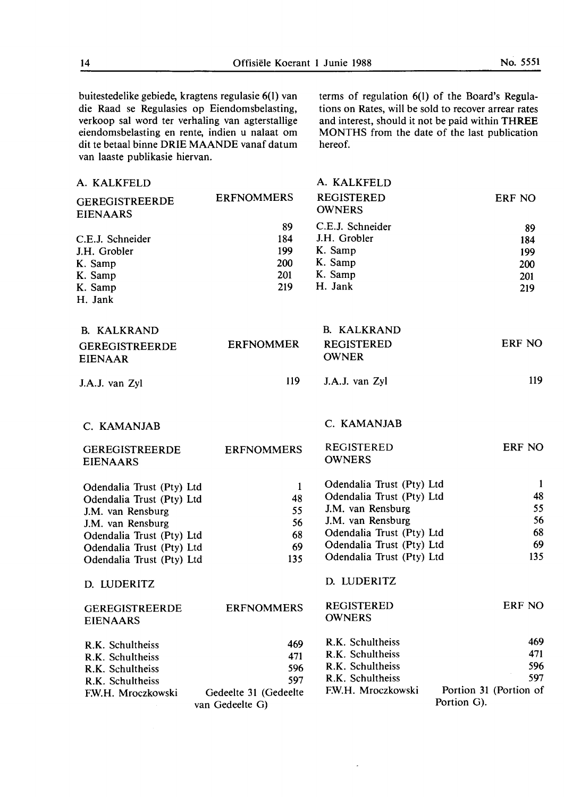buitestedelike gebiede, kragtens regulasie 6(1) van die Raad se Regulasies op Eiendomsbelasting, verkoop sal word ter verhaling van agterstallige eiendomsbelasting en rente, indien u nalaat om dit te betaal binne **ORIE MAANDE** vanaf datum van laaste publikasie hiervan.

terms of regulation 6(1) of the Board's Regulations on Rates, will be sold to recover arrear rates and interest, should it not be paid within THREE MONTHS from the date of the last publication hereof.

| A. KALKFELD                              |                       | A. KALKFELD                        |                        |
|------------------------------------------|-----------------------|------------------------------------|------------------------|
| <b>GEREGISTREERDE</b><br><b>EIENAARS</b> | <b>ERFNOMMERS</b>     | <b>REGISTERED</b><br><b>OWNERS</b> | ERF NO                 |
|                                          | 89                    | C.E.J. Schneider                   | 89                     |
| C.E.J. Schneider                         | 184                   | J.H. Grobler                       | 184                    |
| J.H. Grobler                             | 199                   | K. Samp                            | 199                    |
| K. Samp                                  | 200                   | K. Samp                            | 200                    |
| K. Samp                                  | 201                   | K. Samp                            | 201                    |
| K. Samp                                  | 219                   | H. Jank                            | 219                    |
| H. Jank                                  |                       |                                    |                        |
| <b>B. KALKRAND</b>                       |                       | <b>B. KALKRAND</b>                 |                        |
| <b>GEREGISTREERDE</b>                    | <b>ERFNOMMER</b>      | <b>REGISTERED</b>                  | <b>ERF NO</b>          |
| <b>EIENAAR</b>                           |                       | <b>OWNER</b>                       |                        |
| J.A.J. van Zyl                           | <b>I19</b>            | J.A.J. van Zyl                     | 119                    |
| C. KAMANJAB                              |                       | C. KAMANJAB                        |                        |
| <b>GEREGISTREERDE</b>                    | <b>ERFNOMMERS</b>     | <b>REGISTERED</b>                  | ERF NO                 |
| <b>EIENAARS</b>                          |                       | <b>OWNERS</b>                      |                        |
| Odendalia Trust (Pty) Ltd                | $\mathbf{1}$          | Odendalia Trust (Pty) Ltd          | -1                     |
| Odendalia Trust (Pty) Ltd                | 48                    | Odendalia Trust (Pty) Ltd          | 48                     |
| J.M. van Rensburg                        | 55                    | J.M. van Rensburg                  | 55                     |
| J.M. van Rensburg                        | 56                    | J.M. van Rensburg                  | 56                     |
| Odendalia Trust (Pty) Ltd                | 68                    | Odendalia Trust (Pty) Ltd          | 68                     |
| Odendalia Trust (Pty) Ltd                | 69                    | Odendalia Trust (Pty) Ltd          | 69                     |
| Odendalia Trust (Pty) Ltd                | 135                   | Odendalia Trust (Pty) Ltd          | 135                    |
| D. LUDERITZ                              |                       | D. LUDERITZ                        |                        |
| <b>GEREGISTREERDE</b>                    | <b>ERFNOMMERS</b>     | <b>REGISTERED</b>                  | ERF NO                 |
| <b>EIENAARS</b>                          |                       | <b>OWNERS</b>                      |                        |
| R.K. Schultheiss                         | 469                   | R.K. Schultheiss                   | 469                    |
| R.K. Schultheiss                         | 471                   | R.K. Schultheiss                   | 471                    |
| R.K. Schultheiss                         | 596                   | R.K. Schultheiss                   | 596                    |
| R.K. Schultheiss                         | 597                   | R.K. Schultheiss                   | 597                    |
| F.W.H. Mroczkowski                       | Gedeelte 31 (Gedeelte | F.W.H. Mroczkowski                 | Portion 31 (Portion of |
|                                          | van Gedeelte G)       |                                    | Portion G).            |

L.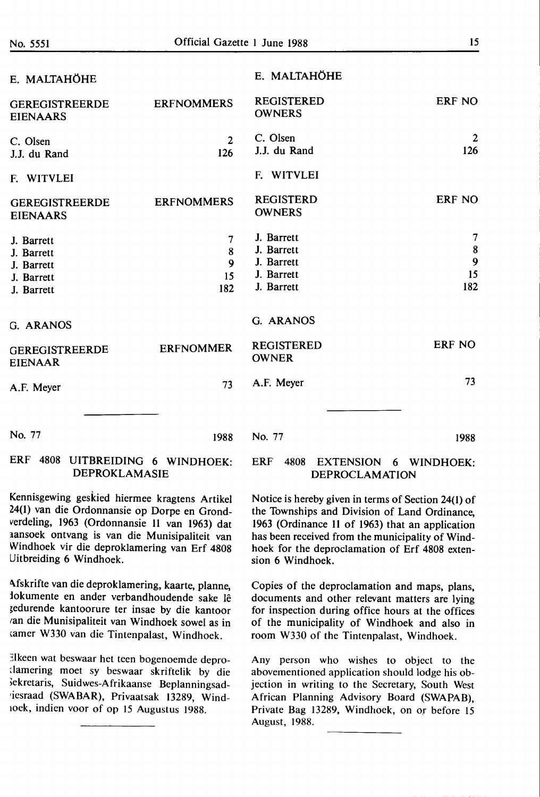|--|

| E. MALTAHÖHE                                                       |                                         | E. MALTAHÖHE                                                       |                                       |
|--------------------------------------------------------------------|-----------------------------------------|--------------------------------------------------------------------|---------------------------------------|
| <b>GEREGISTREERDE</b><br><b>EIENAARS</b>                           | <b>ERFNOMMERS</b>                       | <b>REGISTERED</b><br><b>OWNERS</b>                                 | ERF NO                                |
| C. Olsen<br>J.J. du Rand                                           | $\overline{2}$<br>126                   | C. Olsen<br>J.J. du Rand                                           | $\overline{2}$<br>126                 |
| F. WITVLEI                                                         |                                         | F. WITVLEI                                                         |                                       |
| <b>GEREGISTREERDE</b><br><b>EIENAARS</b>                           | <b>ERFNOMMERS</b>                       | <b>REGISTERD</b><br><b>OWNERS</b>                                  | ERF NO                                |
| J. Barrett<br>J. Barrett<br>J. Barrett<br>J. Barrett<br>J. Barrett | 7<br>8<br>$\boldsymbol{9}$<br>15<br>182 | J. Barrett<br>J. Barrett<br>J. Barrett<br>J. Barrett<br>J. Barrett | $\overline{7}$<br>8<br>9<br>15<br>182 |
| G. ARANOS                                                          |                                         | G. ARANOS                                                          |                                       |
| <b>GEREGISTREERDE</b><br><b>EIENAAR</b>                            | <b>ERFNOMMER</b>                        | <b>REGISTERED</b><br><b>OWNER</b>                                  | <b>ERF NO</b>                         |
| A.F. Meyer                                                         | 73                                      | A.F. Meyer                                                         | 73                                    |
|                                                                    |                                         |                                                                    |                                       |
| No. 77                                                             | 1988                                    | No. 77                                                             | 1988                                  |
| <b>DDD</b><br>$1000 + 1250$                                        |                                         |                                                                    |                                       |

### ERF 4808 UITBREIDING 6 WINDHOEK: **DEPROKLAMASIE**

Kennisgewing geskied hiermee kragtens Artikel 24(1) van die Ordonnansie op Dorpe en Grondverdeling, 1963 (Ordonnansie **11** van 1963) dat 1ansoek ontvang is van die Munisipaliteit van Windhoek vir die deproklamering van Erf 4808 Uitbreiding 6 Windhoek.

Afskrifte van die deproklamering, kaarte, planne, iokumente en ander verbandhoudende sake le ~edurende kantoorure ter insae by die kantoor ran die Munisipaliteit van Windhoek sowel as in camer W330 van die Tintenpalast, Windhoek.

Elkeen wat beswaar het teen bogenoemde depro-.lamering moet sy beswaar skriftelik by die ,ekretaris, Suidwes-Afrikaanse Beplanningsad- •iesraad **(SWABAR),** Privaatsak 13289, Wind-1oek, indien voor of op 15 Augustus 1988.

### ERF 4808 EXTENSION 6 WINDHOEK: DEPROCLAMATION

Notice is hereby given in terms of Section 24(1) of the Townships and Division of Land Ordinance, 1963 (Ordinance 11 of 1963) that an application has been received from the municipality of Windhoek for the deproclamation of Erf 4808 extension 6 Windhoek.

Copies of the deproclamation and maps, plans, documents and other relevant matters are lying for inspection during office hours at the offices of the municipality of Windhoek and also in room W330 of the Tintenpalast, Windhoek.

Any person who wishes to object to the abovementioned application should lodge his objection in writing to the Secretary, South West African Planning Advisory Board (SWAPAB), Private Bag 13289, Windhoek, on or before 15 August, 1988.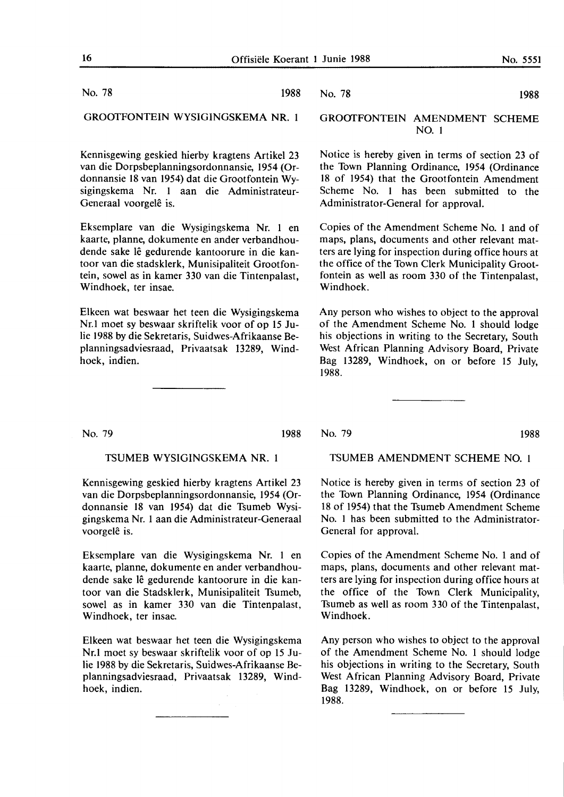No. 78 1988

GROOTFONTEIN WYSIGINGSKEMA NR. 1

Kennisgewing geskied hierby kragtens Artikel 23 van die Dorpsbeplanningsordonnansie, 1954 (Ordonnansie 18 van 1954) dat die Grootfontein Wysigingskema **Nr. 1** aan die Administrateur-Generaal voorgelê is.

Eksemplare van die Wysigingskema Nr. 1 en kaarte, planne, dokumente en ander verbandhoudende sake lê gedurende kantoorure in die kantoor van die stadsklerk, Munisipaliteit Grootfontein, sowel as in kamer 330 van die Tintenpalast, Windhoek, ter insae.

Elkeen wat beswaar het teen die Wysigingskema Nr.l moet sy beswaar skriftelik voor of op 15 Julie 1988 by die Sekretaris, Suidwes-Afrikaanse Beplanningsadviesraad, Privaatsak 13289, Windhoek, indien.

### No. 79 1988

TSUMEB WYSIGINGSKEMA NR. 1

Kennisgewing geskied hierby kragtens Artikel 23 van die Dorpsbeplanningsordonnansie, 1954 (Ordonnansie 18 van 1954) dat die Tsumeb Wysigingskema Nr. 1 aan die Administrateur-Generaal voorgelê is.

Eksemplare van die Wysigingskema Nr. 1 en kaarte, planne, dokumente en ander verbandhoudende sake le gedurende kantoorure in die kantoor van die Stadsklerk, Munisipaliteit Tsumeb, sowel as in kamer 330 van die Tintenpalast, Windhoek, ter insae.

Elkeen wat beswaar het teen die Wysigingskema Nr.l moet sy beswaar skriftelik voor of op 15 Julie 1988 by die Sekretaris, Suidwes-Afrikaanse Beplanningsadviesraad, Privaatsak 13289, Windhoek, indien.

### No. 78 1988

### GROOfFONTEIN AMENDMENT SCHEME NO. 1

Notice is **hereby** given **in terms of section 23 of the Town Planning Ordinance, 1954 (Ordinance 18 of 1954) that** the **Grootfontein Amendment Scheme No. 1** has been submitted to the Administrator-General for approval.

Copies of the Amendment Scheme No. 1 and of maps, plans, documents and other relevant matters are lying for inspection during office hours at the office of the Town Clerk Municipality Groot**fontein as well as room 330 of the Tintenpalast, Windhoek.** 

Any person who wishes to object to the approval of the Amendment Scheme No. 1 should lodge his objections in writing to the Secretary, South West African Planning Advisory Board, Private Bag 13289, Windhoek, on or before 15 July, 1988.

No. 79 1988

### TSUMEB AMENDMENT SCHEME NO. 1

Notice is hereby given in terms of section 23 of the Town Planning Ordinance, 1954 (Ordinance 18 of 1954) that the Tsumeb Amendment Scheme No. 1 has been submitted to the Administrator-**General for approval.** 

Copies of the Amendment Scheme No. 1 and of maps, plans, documents and other relevant matters are lying for inspection during office hours at the office of the Town Clerk Municipality, Tsumeb as well as room 330 of the Tintenpalast, Windhoek.

Any person who wishes to object to the approval of the Amendment Scheme No. 1 should lodge his objections in writing to the Secretary, South West African Planning Advisory Board, Private Bag 13289, Windhoek, on or before 15 July, 1988.